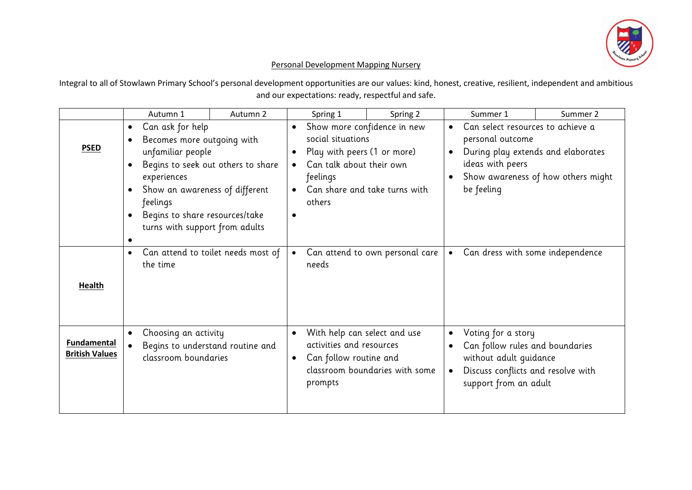

## Personal Development Mapping Nursery

Integral to all of Stowlawn Primary School's personal development opportunities are our values: kind, honest, creative, resilient, independent and ambitious and our expectations: ready, respectful and safe.

|                                             | Autumn 1                                                                                                                                                                                                                                                                                                                 | Autumn 2                           |           | Spring 1                                                                                                                                                           | Spring 2                        |                                                                                                                                                                                       | Summer 1                         | Summer 2 |
|---------------------------------------------|--------------------------------------------------------------------------------------------------------------------------------------------------------------------------------------------------------------------------------------------------------------------------------------------------------------------------|------------------------------------|-----------|--------------------------------------------------------------------------------------------------------------------------------------------------------------------|---------------------------------|---------------------------------------------------------------------------------------------------------------------------------------------------------------------------------------|----------------------------------|----------|
| <b>PSED</b>                                 | Can ask for help<br>$\bullet$<br>Becomes more outgoing with<br>$\bullet$<br>unfamiliar people<br>Begins to seek out others to share<br>$\bullet$<br>experiences<br>Show an awareness of different<br>$\bullet$<br>feelings<br>Begins to share resources/take<br>$\bullet$<br>turns with support from adults<br>$\bullet$ |                                    | $\bullet$ | Show more confidence in new<br>social situations<br>Play with peers (1 or more)<br>Can talk about their own<br>feelings<br>Can share and take turns with<br>others |                                 | Can select resources to achieve a<br>$\bullet$<br>personal outcome<br>During play extends and elaborates<br>ideas with peers<br>Show awareness of how others might<br>be feeling      |                                  |          |
| <b>Health</b>                               | $\bullet$<br>the time                                                                                                                                                                                                                                                                                                    | Can attend to toilet needs most of |           | needs                                                                                                                                                              | Can attend to own personal care | $\bullet$                                                                                                                                                                             | Can dress with some independence |          |
| <b>Fundamental</b><br><b>British Values</b> | Choosing an activity<br>$\bullet$<br>Begins to understand routine and<br>classroom boundaries                                                                                                                                                                                                                            |                                    |           | With help can select and use<br>activities and resources<br>Can follow routine and<br>classroom boundaries with some<br>prompts                                    |                                 | Voting for a story<br>$\bullet$<br>Can follow rules and boundaries<br>$\bullet$<br>without adult guidance<br>Discuss conflicts and resolve with<br>$\bullet$<br>support from an adult |                                  |          |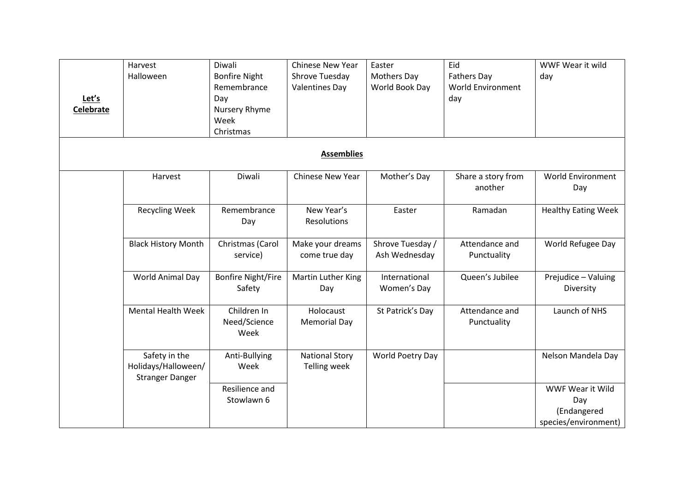| Let's<br>Celebrate | Harvest<br>Halloween                                           | Diwali<br><b>Bonfire Night</b><br>Remembrance<br>Day<br>Nursery Rhyme<br>Week<br>Christmas | Chinese New Year<br>Shrove Tuesday<br><b>Valentines Day</b> | Easter<br><b>Mothers Day</b><br>World Book Day | Eid<br><b>Fathers Day</b><br><b>World Environment</b><br>day | WWF Wear it wild<br>day                                        |  |  |
|--------------------|----------------------------------------------------------------|--------------------------------------------------------------------------------------------|-------------------------------------------------------------|------------------------------------------------|--------------------------------------------------------------|----------------------------------------------------------------|--|--|
| <b>Assemblies</b>  |                                                                |                                                                                            |                                                             |                                                |                                                              |                                                                |  |  |
|                    | Harvest                                                        | Diwali                                                                                     | <b>Chinese New Year</b>                                     | Mother's Day                                   | Share a story from<br>another                                | <b>World Environment</b><br>Day                                |  |  |
|                    | <b>Recycling Week</b>                                          | Remembrance<br>Day                                                                         | New Year's<br><b>Resolutions</b>                            | Easter                                         | Ramadan                                                      | <b>Healthy Eating Week</b>                                     |  |  |
|                    | <b>Black History Month</b>                                     | Christmas (Carol<br>service)                                                               | Make your dreams<br>come true day                           | Shrove Tuesday /<br>Ash Wednesday              | Attendance and<br>Punctuality                                | World Refugee Day                                              |  |  |
|                    | World Animal Day                                               | <b>Bonfire Night/Fire</b><br>Safety                                                        | Martin Luther King<br>Day                                   | International<br>Women's Day                   | Queen's Jubilee                                              | Prejudice - Valuing<br>Diversity                               |  |  |
|                    | <b>Mental Health Week</b>                                      | Children In<br>Need/Science<br>Week                                                        | Holocaust<br><b>Memorial Day</b>                            | St Patrick's Day                               | Attendance and<br>Punctuality                                | Launch of NHS                                                  |  |  |
|                    | Safety in the<br>Holidays/Halloween/<br><b>Stranger Danger</b> | Anti-Bullying<br>Week                                                                      | <b>National Story</b><br><b>Telling week</b>                | World Poetry Day                               |                                                              | Nelson Mandela Day                                             |  |  |
|                    |                                                                | Resilience and<br>Stowlawn 6                                                               |                                                             |                                                |                                                              | WWF Wear it Wild<br>Day<br>(Endangered<br>species/environment) |  |  |